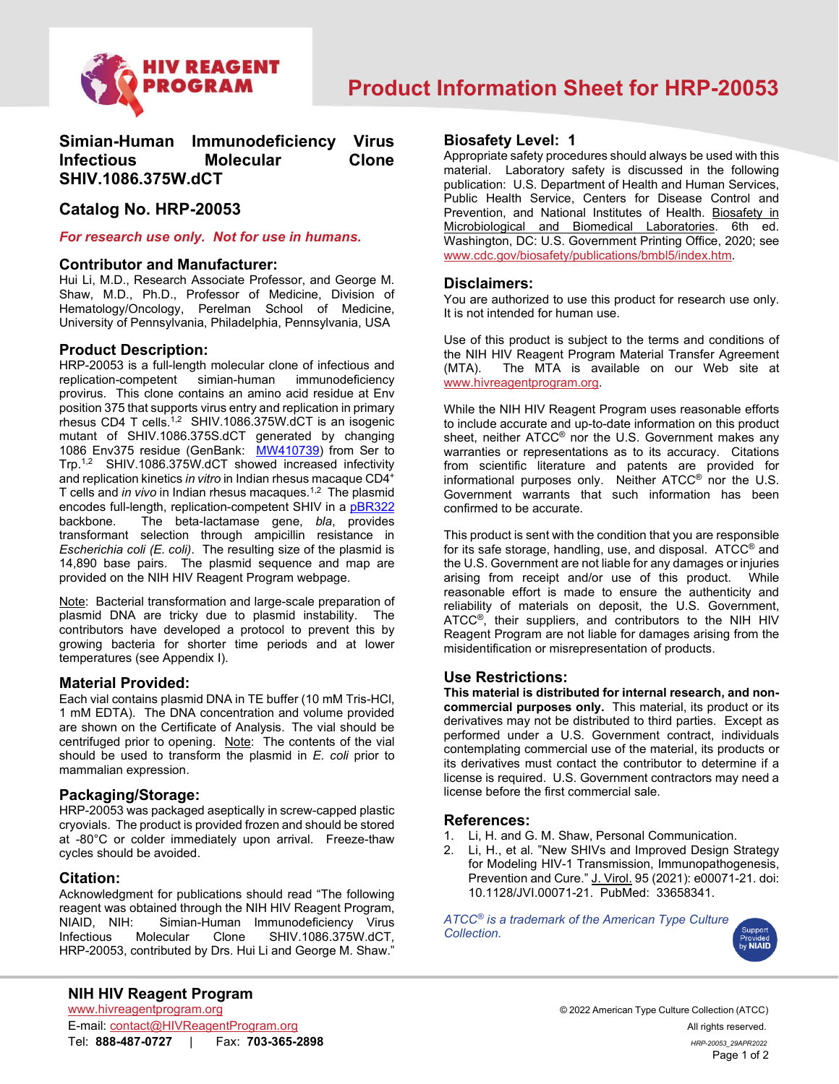

# **Simian-Human Immunodeficiency Virus Infectious Molecular Clone SHIV.1086.375W.dCT**

## **Catalog No. HRP-20053**

#### *For research use only. Not for use in humans.*

#### **Contributor and Manufacturer:**

Hui Li, M.D., Research Associate Professor, and George M. Shaw, M.D., Ph.D., Professor of Medicine, Division of Hematology/Oncology, Perelman School of Medicine, University of Pennsylvania, Philadelphia, Pennsylvania, USA

### **Product Description:**

HRP-20053 is a full-length molecular clone of infectious and replication-competent provirus. This clone contains an amino acid residue at Env position 375 that supports virus entry and replication in primary rhesus CD4 T cells.<sup>1,2</sup> SHIV.1086.375W.dCT is an isogenic mutant of SHIV.1086.375S.dCT generated by changing 1086 Env375 residue (GenBank: [MW410739\)](https://www.ncbi.nlm.nih.gov/nuccore/MW410739) from Ser to Trp.<sup>1,2</sup> SHIV.1086.375W.dCT showed increased infectivity and replication kinetics *in vitro* in Indian rhesus macaque CD4+ T cells and *in vivo* in Indian rhesus macaques.<sup>1,2</sup> The plasmid encodes full-length, replication-competent SHIV in a <u>[pBR322](https://www.ncbi.nlm.nih.gov/nuccore/J01749.1/)</u> backbone. The beta-lactamase gene, *bla*, provides transformant selection through ampicillin resistance in *Escherichia coli (E. coli)*. The resulting size of the plasmid is 14,890 base pairs. The plasmid sequence and map are provided on the NIH HIV Reagent Program webpage.

Note: Bacterial transformation and large-scale preparation of plasmid DNA are tricky due to plasmid instability. The contributors have developed a protocol to prevent this by growing bacteria for shorter time periods and at lower temperatures (see Appendix I).

### **Material Provided:**

Each vial contains plasmid DNA in TE buffer (10 mM Tris-HCl, 1 mM EDTA). The DNA concentration and volume provided are shown on the Certificate of Analysis. The vial should be centrifuged prior to opening. Note: The contents of the vial should be used to transform the plasmid in *E. coli* prior to mammalian expression.

### **Packaging/Storage:**

HRP-20053 was packaged aseptically in screw-capped plastic cryovials. The product is provided frozen and should be stored at -80°C or colder immediately upon arrival. Freeze-thaw cycles should be avoided.

### **Citation:**

Acknowledgment for publications should read "The following reagent was obtained through the NIH HIV Reagent Program, NIAID, NIH: Simian-Human Immunodeficiency Virus Infectious Molecular Clone SHIV.1086.375W.dCT, HRP-20053, contributed by Drs. Hui Li and George M. Shaw."

## **Biosafety Level: 1**

Appropriate safety procedures should always be used with this material. Laboratory safety is discussed in the following publication: U.S. Department of Health and Human Services, Public Health Service, Centers for Disease Control and Prevention, and National Institutes of Health. Biosafety in Microbiological and Biomedical Laboratories. 6th ed. Washington, DC: U.S. Government Printing Office, 2020; see [www.cdc.gov/biosafety/publications/bmbl5/index.htm.](http://www.cdc.gov/biosafety/publications/bmbl5/index.htm)

#### **Disclaimers:**

You are authorized to use this product for research use only. It is not intended for human use.

Use of this product is subject to the terms and conditions of the NIH HIV Reagent Program Material Transfer Agreement<br>(MTA). The MTA is available on our Web site at The MTA is available on our Web site at [www.hivreagentprogram.org.](https://www.hivreagentprogram.org/Home.aspx)

While the NIH HIV Reagent Program uses reasonable efforts to include accurate and up-to-date information on this product sheet, neither ATCC® nor the U.S. Government makes any warranties or representations as to its accuracy. Citations from scientific literature and patents are provided for informational purposes only. Neither ATCC® nor the U.S. Government warrants that such information has been confirmed to be accurate.

This product is sent with the condition that you are responsible for its safe storage, handling, use, and disposal. ATCC® and the U.S. Government are not liable for any damages or injuries arising from receipt and/or use of this product. While reasonable effort is made to ensure the authenticity and reliability of materials on deposit, the U.S. Government, ATCC®, their suppliers, and contributors to the NIH HIV Reagent Program are not liable for damages arising from the misidentification or misrepresentation of products.

## **Use Restrictions:**

**This material is distributed for internal research, and noncommercial purposes only.** This material, its product or its derivatives may not be distributed to third parties. Except as performed under a U.S. Government contract, individuals contemplating commercial use of the material, its products or its derivatives must contact the contributor to determine if a license is required. U.S. Government contractors may need a license before the first commercial sale.

#### **References:**

- 1. Li, H. and G. M. Shaw, Personal Communication.<br>2. Li, H., et al. "New SHIVs and Improved Design S
- Li, H., et al. "New SHIVs and Improved Design Strategy for Modeling HIV-1 Transmission, Immunopathogenesis, Prevention and Cure." J. Virol. 95 (2021): e00071-21. doi: 10.1128/JVI.00071-21. PubMed: 33658341.

*ATCC® is a trademark of the American Type Culture Collection.*



E-mail: [contact@HIVReagentProgram.org](mailto:contact@HIVReagentProgram.org) All rights reserved. Tel: **888-487-0727** | Fax: **703-365-2898** *HRP-20053\_29APR2022*

© 2022 American Type Culture Collection (ATCC) Page 1 of 2